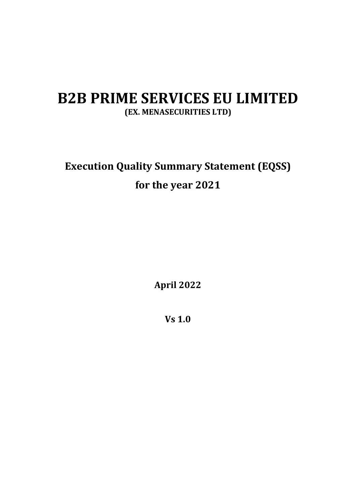## B2B PRIME SERVICES EU LIMITED (EX. MENASECURITIES LTD)

# Execution Quality Summary Statement (EQSS) for the year 2021

April 2022

Vs 1.0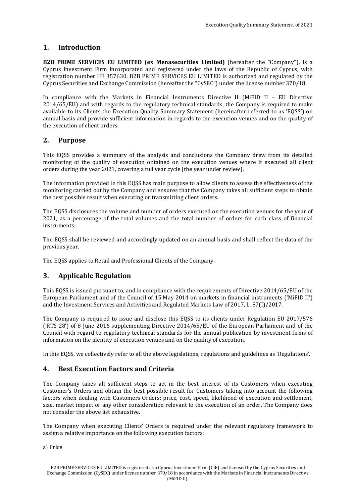## 1. Introduction

B2B PRIME SERVICES EU LIMITED (ex Menasecurities Limited) (hereafter the "Company"), is a Cyprus Investment Firm incorporated and registered under the laws of the Republic of Cyprus, with registration number HE 357630. B2B PRIME SERVICES EU LIMITED is authorized and regulated by the Cyprus Securities and Exchange Commission (hereafter the "CySEC") under the license number 370/18.

In compliance with the Markets in Financial Instruments Directive II (MiFID II – EU Directive 2014/65/EU) and with regards to the regulatory technical standards, the Company is required to make available to its Clients the Execution Quality Summary Statement (hereinafter referred to as 'EQSS') on annual basis and provide sufficient information in regards to the execution venues and on the quality of the execution of client orders.

### 2. Purpose

This EQSS provides a summary of the analysis and conclusions the Company drew from its detailed monitoring of the quality of execution obtained on the execution venues where it executed all client orders during the year 2021, covering a full year cycle (the year under review).

The information provided in this EQSS has main purpose to allow clients to assess the effectiveness of the monitoring carried out by the Company and ensures that the Company takes all sufficient steps to obtain the best possible result when executing or transmitting client orders.

The EQSS disclosures the volume and number of orders executed on the execution venues for the year of 2021, as a percentage of the total volumes and the total number of orders for each class of financial instruments.

The EQSS shall be reviewed and accordingly updated on an annual basis and shall reflect the data of the previous year.

The EQSS applies to Retail and Professional Clients of the Company.

## 3. Applicable Regulation

This EQSS is issued pursuant to, and in compliance with the requirements of Directive 2014/65/EU of the European Parliament and of the Council of 15 May 2014 on markets in financial instruments ('MiFID II') and the Investment Services and Activities and Regulated Markets Law of 2017, L. 87(I)/2017.

The Company is required to issue and disclose this EQSS to its clients under Regulation EU 2017/576 ('RTS 28') of 8 June 2016 supplementing Directive 2014/65/EU of the European Parliament and of the Council with regard to regulatory technical standards for the annual publication by investment firms of information on the identity of execution venues and on the quality of execution.

In this EQSS, we collectively refer to all the above legislations, regulations and guidelines as 'Regulations'.

### 4. Best Execution Factors and Criteria

The Company takes all sufficient steps to act in the best interest of its Customers when executing Customer's Orders and obtain the best possible result for Customers taking into account the following factors when dealing with Customers Orders: price, cost, speed, likelihood of execution and settlement, size, market impact or any other consideration relevant to the execution of an order. The Company does not consider the above list exhaustive.

The Company when executing Clients' Orders is required under the relevant regulatory framework to assign a relative importance on the following execution factors:

a) Price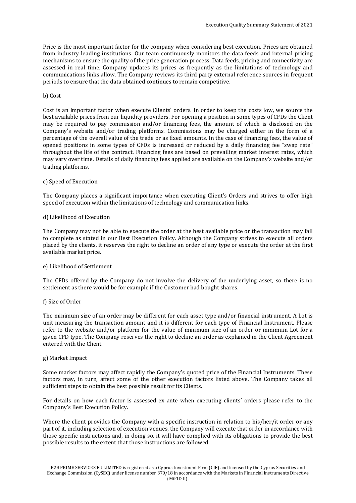Price is the most important factor for the company when considering best execution. Prices are obtained from industry leading institutions. Our team continuously monitors the data feeds and internal pricing mechanisms to ensure the quality of the price generation process. Data feeds, pricing and connectivity are assessed in real time. Company updates its prices as frequently as the limitations of technology and communications links allow. The Company reviews its third party external reference sources in frequent periods to ensure that the data obtained continues to remain competitive.

#### b) Cost

Cost is an important factor when execute Clients' orders. In order to keep the costs low, we source the best available prices from our liquidity providers. For opening a position in some types of CFDs the Client may be required to pay commission and/or financing fees, the amount of which is disclosed on the Company's website and/or trading platforms. Commissions may be charged either in the form of a percentage of the overall value of the trade or as fixed amounts. In the case of financing fees, the value of opened positions in some types of CFDs is increased or reduced by a daily financing fee "swap rate" throughout the life of the contract. Financing fees are based on prevailing market interest rates, which may vary over time. Details of daily financing fees applied are available on the Company's website and/or trading platforms.

#### c) Speed of Execution

The Company places a significant importance when executing Client's Orders and strives to offer high speed of execution within the limitations of technology and communication links.

#### d) Likelihood of Execution

The Company may not be able to execute the order at the best available price or the transaction may fail to complete as stated in our Best Execution Policy. Although the Company strives to execute all orders placed by the clients, it reserves the right to decline an order of any type or execute the order at the first available market price.

#### e) Likelihood of Settlement

The CFDs offered by the Company do not involve the delivery of the underlying asset, so there is no settlement as there would be for example if the Customer had bought shares.

#### f) Size of Order

The minimum size of an order may be different for each asset type and/or financial instrument. A Lot is unit measuring the transaction amount and it is different for each type of Financial Instrument. Please refer to the website and/or platform for the value of minimum size of an order or minimum Lot for a given CFD type. The Company reserves the right to decline an order as explained in the Client Agreement entered with the Client.

#### g) Market Impact

Some market factors may affect rapidly the Company's quoted price of the Financial Instruments. These factors may, in turn, affect some of the other execution factors listed above. The Company takes all sufficient steps to obtain the best possible result for its Clients.

For details on how each factor is assessed ex ante when executing clients' orders please refer to the Company's Best Execution Policy.

Where the client provides the Company with a specific instruction in relation to his/her/it order or any part of it, including selection of execution venues, the Company will execute that order in accordance with those specific instructions and, in doing so, it will have complied with its obligations to provide the best possible results to the extent that those instructions are followed.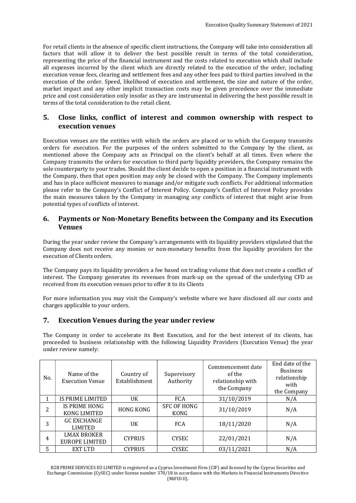For retail clients in the absence of specific client instructions, the Company will take into consideration all factors that will allow it to deliver the best possible result in terms of the total consideration, representing the price of the financial instrument and the costs related to execution which shall include all expenses incurred by the client which are directly related to the execution of the order, including execution venue fees, clearing and settlement fees and any other fees paid to third parties involved in the execution of the order. Speed, likelihood of execution and settlement, the size and nature of the order, market impact and any other implicit transaction costs may be given precedence over the immediate price and cost consideration only insofar as they are instrumental in delivering the best possible result in terms of the total consideration to the retail client.

## 5. Close links, conflict of interest and common ownership with respect to execution venues

Execution venues are the entities with which the orders are placed or to which the Company transmits orders for execution. For the purposes of the orders submitted to the Company by the client, as mentioned above the Company acts as Principal on the client's behalf at all times. Even where the Company transmits the orders for execution to third party liquidity providers, the Company remains the sole counterparty to your trades. Should the client decide to open a position in a financial instrument with the Company, then that open position may only be closed with the Company. The Company implements and has in place sufficient measures to manage and/or mitigate such conflicts. For additional information please refer to the Company's Conflict of Interest Policy. Company's Conflict of Interest Policy provides the main measures taken by the Company in managing any conflicts of interest that might arise from potential types of conflicts of interest.

### 6. Payments or Non-Monetary Benefits between the Company and its Execution Venues

During the year under review the Company's arrangements with its liquidity providers stipulated that the Company does not receive any monies or non-monetary benefits from the liquidity providers for the execution of Clients orders.

The Company pays its liquidity providers a fee based on trading volume that does not create a conflict of interest. The Company generates its revenues from mark-up on the spread of the underlying CFD as received from its execution venues prior to offer it to its Clients

For more information you may visit the Company's website where we have disclosed all our costs and charges applicable to your orders.

### 7. Execution Venues during the year under review

The Company in order to accelerate its Best Execution, and for the best interest of its clients, has proceeded to business relationship with the following Liquidity Providers (Execution Venue) the year under review namely:

| No. | Name of the<br><b>Execution Venue</b>       | Country of<br>Establishment | Supervisory<br>Authority   | Commencement date<br>of the<br>relationship with<br>the Company | End date of the<br><b>Business</b><br>relationship<br>with<br>the Company |
|-----|---------------------------------------------|-----------------------------|----------------------------|-----------------------------------------------------------------|---------------------------------------------------------------------------|
|     | IS PRIME LIMITED                            | UK                          | <b>FCA</b>                 | 31/10/2019                                                      | N/A                                                                       |
| 2   | IS PRIME HONG<br>KONG LIMITED               | <b>HONG KONG</b>            | <b>SFC OF HONG</b><br>KONG | 31/10/2019                                                      | N/A                                                                       |
| 3   | <b>GC EXCHANGE</b><br>LIMITED               | UK.                         | <b>FCA</b>                 | 18/11/2020                                                      | N/A                                                                       |
| 4   | <b>LMAX BROKER</b><br><b>EUROPE LIMITED</b> | <b>CYPRUS</b>               | <b>CYSEC</b>               | 22/01/2021                                                      | N/A                                                                       |
| 5   | <b>EXT LTD</b>                              | <b>CYPRUS</b>               | <b>CYSEC</b>               | 03/11/2021                                                      | N/A                                                                       |

B2B PRIME SERVICES EU LIMITED is registered as a Cyprus Investment Firm (CIF) and licensed by the Cyprus Securities and Exchange Commission (CySEC) under license number 370/18 in accordance with the Markets in Financial Instruments Directive (MiFID II).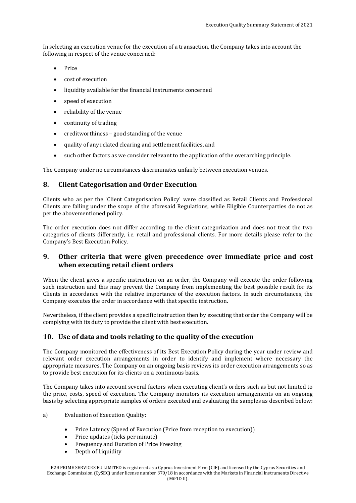In selecting an execution venue for the execution of a transaction, the Company takes into account the following in respect of the venue concerned:

- Price
- cost of execution
- liquidity available for the financial instruments concerned
- speed of execution
- reliability of the venue
- continuity of trading
- creditworthiness good standing of the venue
- quality of any related clearing and settlement facilities, and
- such other factors as we consider relevant to the application of the overarching principle.

The Company under no circumstances discriminates unfairly between execution venues.

## 8. Client Categorisation and Order Execution

Clients who as per the 'Client Categorisation Policy' were classified as Retail Clients and Professional Clients are falling under the scope of the aforesaid Regulations, while Eligible Counterparties do not as per the abovementioned policy.

The order execution does not differ according to the client categorization and does not treat the two categories of clients differently, i.e. retail and professional clients. For more details please refer to the Company's Best Execution Policy.

## 9. Other criteria that were given precedence over immediate price and cost when executing retail client orders

When the client gives a specific instruction on an order, the Company will execute the order following such instruction and this may prevent the Company from implementing the best possible result for its Clients in accordance with the relative importance of the execution factors. In such circumstances, the Company executes the order in accordance with that specific instruction.

Nevertheless, if the client provides a specific instruction then by executing that order the Company will be complying with its duty to provide the client with best execution.

### 10. Use of data and tools relating to the quality of the execution

The Company monitored the effectiveness of its Best Execution Policy during the year under review and relevant order execution arrangements in order to identify and implement where necessary the appropriate measures. The Company on an ongoing basis reviews its order execution arrangements so as to provide best execution for its clients on a continuous basis.

The Company takes into account several factors when executing client's orders such as but not limited to the price, costs, speed of execution. The Company monitors its execution arrangements on an ongoing basis by selecting appropriate samples of orders executed and evaluating the samples as described below:

- a) Evaluation of Execution Quality:
	- Price Latency (Speed of Execution (Price from reception to execution))
	- Price updates (ticks per minute)
	- Frequency and Duration of Price Freezing
	- Depth of Liquidity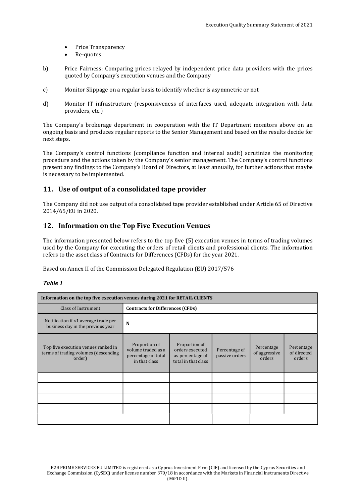- Price Transparency
- Re-quotes
- b) Price Fairness: Comparing prices relayed by independent price data providers with the prices quoted by Company's execution venues and the Company
- c) Monitor Slippage on a regular basis to identify whether is asymmetric or not
- d) Monitor IT infrastructure (responsiveness of interfaces used, adequate integration with data providers, etc.)

The Company's brokerage department in cooperation with the IT Department monitors above on an ongoing basis and produces regular reports to the Senior Management and based on the results decide for next steps.

The Company's control functions (compliance function and internal audit) scrutinize the monitoring procedure and the actions taken by the Company's senior management. The Company's control functions present any findings to the Company's Board of Directors, at least annually, for further actions that maybe is necessary to be implemented.

## 11. Use of output of a consolidated tape provider

The Company did not use output of a consolidated tape provider established under Article 65 of Directive 2014/65/EU in 2020.

## 12. Information on the Top Five Execution Venues

The information presented below refers to the top five (5) execution venues in terms of trading volumes used by the Company for executing the orders of retail clients and professional clients. The information refers to the asset class of Contracts for Differences (CFDs) for the year 2021.

Based on Annex II of the Commission Delegated Regulation (EU) 2017/576

#### Table 1

| Information on the top five execution venues during 2021 for RETAIL CLIENTS           |                                                                             |                                                                             |                                 |                                       |                                     |  |  |  |  |
|---------------------------------------------------------------------------------------|-----------------------------------------------------------------------------|-----------------------------------------------------------------------------|---------------------------------|---------------------------------------|-------------------------------------|--|--|--|--|
| <b>Class of Instrument</b>                                                            | <b>Contracts for Differences (CFDs)</b>                                     |                                                                             |                                 |                                       |                                     |  |  |  |  |
| Notification if <1 average trade per<br>business day in the previous year             | N                                                                           |                                                                             |                                 |                                       |                                     |  |  |  |  |
| Top five execution venues ranked in<br>terms of trading volumes (descending<br>order) | Proportion of<br>volume traded as a<br>percentage of total<br>in that class | Proportion of<br>orders executed<br>as percentage of<br>total in that class | Percentage of<br>passive orders | Percentage<br>of aggressive<br>orders | Percentage<br>of directed<br>orders |  |  |  |  |
|                                                                                       |                                                                             |                                                                             |                                 |                                       |                                     |  |  |  |  |
|                                                                                       |                                                                             |                                                                             |                                 |                                       |                                     |  |  |  |  |
|                                                                                       |                                                                             |                                                                             |                                 |                                       |                                     |  |  |  |  |
|                                                                                       |                                                                             |                                                                             |                                 |                                       |                                     |  |  |  |  |
|                                                                                       |                                                                             |                                                                             |                                 |                                       |                                     |  |  |  |  |